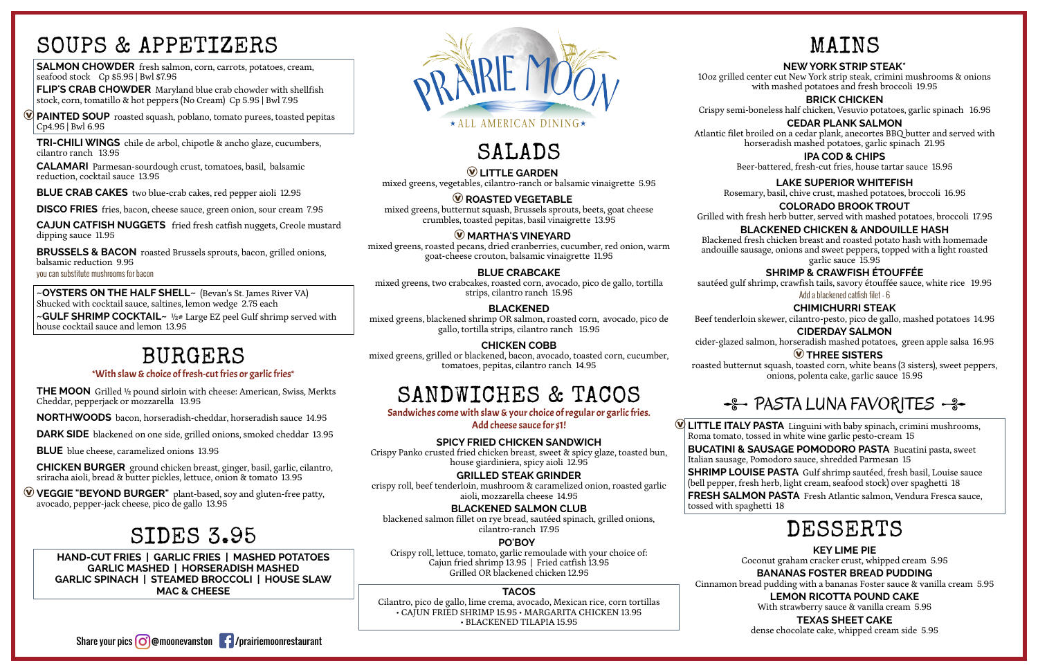### SOUPS & APPETIZERS

**SALMON CHOWDER** fresh salmon, corn, carrots, potatoes, cream, seafood stock Cp \$5.95 | Bwl \$7.95

**PAINTED SOUP** roasted squash, poblano, tomato purees, toasted pepitas Cp4.95 | Bwl 6.95

**FLIP'S CRAB CHOWDER** Maryland blue crab chowder with shellfish stock, corn, tomatillo & hot peppers (No Cream) Cp 5.95 | Bwl 7.95

**TRI-CHILI WINGS** chile de arbol, chipotle & ancho glaze, cucumbers, cilantro ranch 13.95

**~OYSTERS ON THE HALF SHELL~** (Bevan's St. James River VA) Shucked with cocktail sauce, saltines, lemon wedge 2.75 each

**CALAMARI** Parmesan-sourdough crust, tomatoes, basil, balsamic reduction, cocktail sauce 13.95

**BLUE CRAB CAKES** two blue-crab cakes, red pepper aioli 12.95

**DISCO FRIES** fries, bacon, cheese sauce, green onion, sour cream 7.95

**CAJUN CATFISH NUGGETS** fried fresh catfish nuggets, Creole mustard dipping sauce 11.95

**BRUSSELS & BACON** roasted Brussels sprouts, bacon, grilled onions, balsamic reduction 9.95 you can substitute mushrooms for bacon

**~GULF SHRIMP COCKTAIL~** ½# Large EZ peel Gulf shrimp served with house cocktail sauce and lemon 13.95

### BURGERS

#### \*With slaw & choice of fresh-cut fries or garlic fries\*

**THE MOON** Grilled ½ pound sirloin with cheese: American, Swiss, Merkts Cheddar, pepperjack or mozzarella 13.95

**NORTHWOODS** bacon, horseradish-cheddar, horseradish sauce 14.95

**DARK SIDE** blackened on one side, grilled onions, smoked cheddar 13.95

**BLUE** blue cheese, caramelized onions 13.95

**CHICKEN BURGER** ground chicken breast, ginger, basil, garlic, cilantro, sriracha aioli, bread & butter pickles, lettuce, onion & tomato 13.95

Æ**VEGGIE "BEYOND BURGER"** plant-based, soy and gluten-free patty, avocado, pepper-jack cheese, pico de gallo 13.95

### SIDES 3.95

**HAND-CUT FRIES | GARLIC FRIES | MASHED POTATOES GARLIC MASHED | HORSERADISH MASHED GARLIC SPINACH | STEAMED BROCCOLI | HOUSE SLAW MAC & CHEESE**



# SALADS

Æ**LITTLE GARDEN** mixed greens, vegetables, cilantro-ranch or balsamic vinaigrette 5.95

#### **W ROASTED VEGETABLE**

mixed greens, butternut squash, Brussels sprouts, beets, goat cheese crumbles, toasted pepitas, basil vinaigrette 13.95

#### Æ **MARTHA'S VINEYARD**

mixed greens, roasted pecans, dried cranberries, cucumber, red onion, warm goat-cheese crouton, balsamic vinaigrette 11.95

#### **BLUE CRABCAKE**

mixed greens, two crabcakes, roasted corn, avocado, pico de gallo, tortilla strips, cilantro ranch 15.95

#### **BLACKENED**

mixed greens, blackened shrimp OR salmon, roasted corn, avocado, pico de gallo, tortilla strips, cilantro ranch 15.95

**CHICKEN COBB** mixed greens, grilled or blackened, bacon, avocado, toasted corn, cucumber, tomatoes, pepitas, cilantro ranch 14.95

### SANDWICHES & TACOS

Sandwiches come with slaw & your choice of regular or garlic fries. Add cheese sauce for \$1!

#### **SPICY FRIED CHICKEN SANDWICH**

Crispy Panko crusted fried chicken breast, sweet & spicy glaze, toasted bun, house giardiniera, spicy aioli 12.95

#### **GRILLED STEAK GRINDER**

crispy roll, beef tenderloin, mushroom & caramelized onion, roasted garlic aioli, mozzarella cheese 14.95

**BLACKENED SALMON CLUB**

blackened salmon fillet on rye bread, sautéed spinach, grilled onions, cilantro-ranch 17.95

**PO'BOY** 

Crispy roll, lettuce, tomato, garlic remoulade with your choice of: Cajun fried shrimp 13.95 | Fried catfish 13.95 Grilled OR blackened chicken 12.95

#### **TACOS**

Cilantro, pico de gallo, lime crema, avocado, Mexican rice, corn tortillas • CAJUN FRIED SHRIMP 15.95 • MARGARITA CHICKEN 13.95 • BLACKENED TILAPIA 15.95

### MAINS

#### **NEWYORK STRIP STEAK\***

10oz grilled center cut New York strip steak, crimini mushrooms & onions with mashed potatoes and fresh broccoli 19.95

#### **BRICK CHICKEN**

Crispy semi-boneless half chicken, Vesuvio potatoes, garlic spinach 16.95 **CEDAR PLANK SALMON**

Atlantic filet broiled on a cedar plank, anecortes BBQ butter and served with horseradish mashed potatoes, garlic spinach 21.95

#### **IPA COD & CHIPS**

Beer-battered, fresh-cut fries, house tartar sauce 15.95

#### **LAKE SUPERIOR WHITEFISH**

Rosemary, basil, chive crust, mashed potatoes, broccoli 16.95 **COLORADO BROOK TROUT**

Grilled with fresh herb butter, served with mashed potatoes, broccoli 17.95

**BLACKENED CHICKEN & ANDOUILLE HASH** Blackened fresh chicken breast and roasted potato hash with homemade andouille sausage, onions and sweet peppers, topped with a light roasted garlic sauce 15.95

#### **SHRIMP & CRAWFISH ÉTOUFFÉE**

sautéed gulf shrimp, crawfish tails, savory étouffée sauce, white rice 19.95 Add a blackened catfish filet - 6

#### **CHIMICHURRI STEAK**

Beef tenderloin skewer, cilantro-pesto, pico de gallo, mashed potatoes 14.95 **CIDERDAY SALMON**

cider-glazed salmon, horseradish mashed potatoes, green apple salsa 16.95

### Æ**THREE SISTERS**

### +8 - PASTA LUNA FAVORITES - 8 -

roasted butternut squash, toasted corn, white beans (3 sisters), sweet peppers, onions, polenta cake, garlic sauce 15.95

Æ**LITTLE ITALY PASTA** Linguini with baby spinach, crimini mushrooms, Roma tomato, tossed in white wine garlic pesto-cream 15

**BUCATINI & SAUSAGE POMODORO PASTA** Bucatini pasta, sweet Italian sausage, Pomodoro sauce, shredded Parmesan 15

**SHRIMP LOUISE PASTA** Gulf shrimp sautéed, fresh basil, Louise sauce (bell pepper, fresh herb, light cream, seafood stock) over spaghetti 18

**FRESH SALMON PASTA** Fresh Atlantic salmon, Vendura Fresca sauce, tossed with spaghetti 18

### DESSERTS

**KEY LIME PIE**

Coconut graham cracker crust, whipped cream 5.95

#### **BANANAS FOSTER BREAD PUDDING**

Cinnamon bread pudding with a bananas Foster sauce & vanilla cream 5.95

#### **LEMON RICOTTA POUND CAKE**

With strawberry sauce & vanilla cream 5.95

#### **TEXAS SHEET CAKE**

dense chocolate cake, whipped cream side 5.95